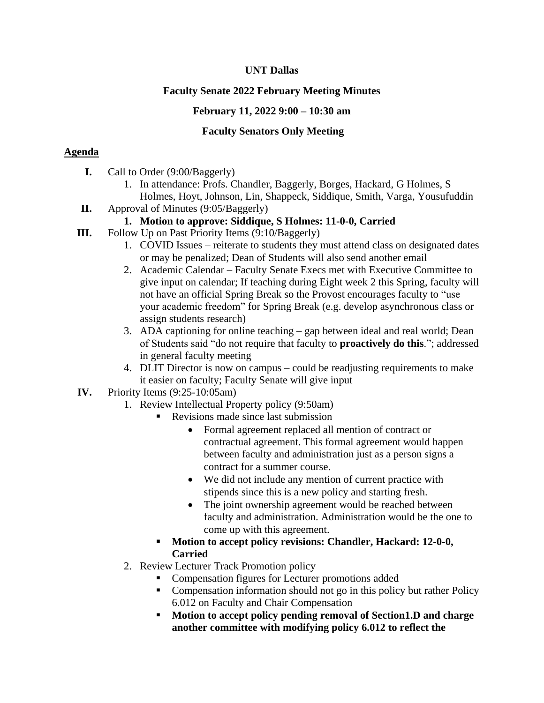### **UNT Dallas**

# **Faculty Senate 2022 February Meeting Minutes**

# **February 11, 2022 9:00 – 10:30 am**

### **Faculty Senators Only Meeting**

### **Agenda**

- **I.** Call to Order (9:00/Baggerly)
	- 1. In attendance: Profs. Chandler, Baggerly, Borges, Hackard, G Holmes, S Holmes, Hoyt, Johnson, Lin, Shappeck, Siddique, Smith, Varga, Yousufuddin
- **II.** Approval of Minutes (9:05/Baggerly)

# **1. Motion to approve: Siddique, S Holmes: 11-0-0, Carried**

- **III.** Follow Up on Past Priority Items (9:10/Baggerly)
	- 1. COVID Issues reiterate to students they must attend class on designated dates or may be penalized; Dean of Students will also send another email
	- 2. Academic Calendar Faculty Senate Execs met with Executive Committee to give input on calendar; If teaching during Eight week 2 this Spring, faculty will not have an official Spring Break so the Provost encourages faculty to "use your academic freedom" for Spring Break (e.g. develop asynchronous class or assign students research)
	- 3. ADA captioning for online teaching gap between ideal and real world; Dean of Students said "do not require that faculty to **proactively do this**."; addressed in general faculty meeting
	- 4. DLIT Director is now on campus could be readjusting requirements to make it easier on faculty; Faculty Senate will give input
- **IV.** Priority Items (9:25-10:05am)
	- 1. Review Intellectual Property policy (9:50am)
		- Revisions made since last submission
			- Formal agreement replaced all mention of contract or contractual agreement. This formal agreement would happen between faculty and administration just as a person signs a contract for a summer course.
			- We did not include any mention of current practice with stipends since this is a new policy and starting fresh.
			- The joint ownership agreement would be reached between faculty and administration. Administration would be the one to come up with this agreement.
		- **Motion to accept policy revisions: Chandler, Hackard: 12-0-0, Carried**
	- 2. Review Lecturer Track Promotion policy
		- Compensation figures for Lecturer promotions added
		- Compensation information should not go in this policy but rather Policy 6.012 on Faculty and Chair Compensation
		- **Motion to accept policy pending removal of Section 1.D and charge another committee with modifying policy 6.012 to reflect the**